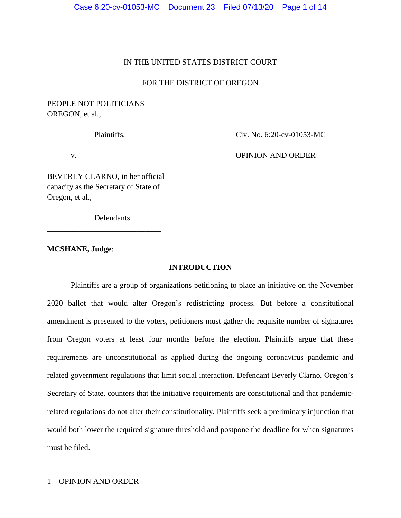# IN THE UNITED STATES DISTRICT COURT

# FOR THE DISTRICT OF OREGON

# PEOPLE NOT POLITICIANS OREGON, et al.,

Plaintiffs. Civ. No. 6:20-cv-01053-MC

v. OPINION AND ORDER

BEVERLY CLARNO, in her official capacity as the Secretary of State of Oregon, et al.,

\_\_\_\_\_\_\_\_\_\_\_\_\_\_\_\_\_\_\_\_\_\_\_\_\_\_\_\_\_

Defendants.

### **MCSHANE, Judge**:

### **INTRODUCTION**

Plaintiffs are a group of organizations petitioning to place an initiative on the November 2020 ballot that would alter Oregon's redistricting process. But before a constitutional amendment is presented to the voters, petitioners must gather the requisite number of signatures from Oregon voters at least four months before the election. Plaintiffs argue that these requirements are unconstitutional as applied during the ongoing coronavirus pandemic and related government regulations that limit social interaction. Defendant Beverly Clarno, Oregon's Secretary of State, counters that the initiative requirements are constitutional and that pandemicrelated regulations do not alter their constitutionality. Plaintiffs seek a preliminary injunction that would both lower the required signature threshold and postpone the deadline for when signatures must be filed.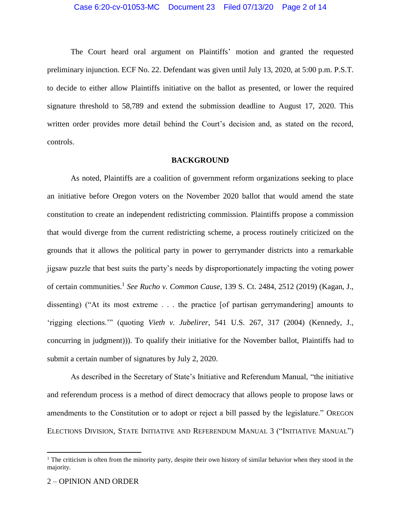The Court heard oral argument on Plaintiffs' motion and granted the requested preliminary injunction. ECF No. 22. Defendant was given until July 13, 2020, at 5:00 p.m. P.S.T. to decide to either allow Plaintiffs initiative on the ballot as presented, or lower the required signature threshold to 58,789 and extend the submission deadline to August 17, 2020. This written order provides more detail behind the Court's decision and, as stated on the record, controls.

#### **BACKGROUND**

As noted, Plaintiffs are a coalition of government reform organizations seeking to place an initiative before Oregon voters on the November 2020 ballot that would amend the state constitution to create an independent redistricting commission. Plaintiffs propose a commission that would diverge from the current redistricting scheme, a process routinely criticized on the grounds that it allows the political party in power to gerrymander districts into a remarkable jigsaw puzzle that best suits the party's needs by disproportionately impacting the voting power of certain communities.<sup>1</sup> *See Rucho v. Common Cause*, 139 S. Ct. 2484, 2512 (2019) (Kagan, J., dissenting) ("At its most extreme . . . the practice [of partisan gerrymandering] amounts to 'rigging elections.'" (quoting *Vieth v. Jubelirer*, 541 U.S. 267, 317 (2004) (Kennedy, J., concurring in judgment))). To qualify their initiative for the November ballot, Plaintiffs had to submit a certain number of signatures by July 2, 2020.

As described in the Secretary of State's Initiative and Referendum Manual, "the initiative and referendum process is a method of direct democracy that allows people to propose laws or amendments to the Constitution or to adopt or reject a bill passed by the legislature." OREGON ELECTIONS DIVISION, STATE INITIATIVE AND REFERENDUM MANUAL 3 ("INITIATIVE MANUAL")

 $\overline{a}$ 

 $1$  The criticism is often from the minority party, despite their own history of similar behavior when they stood in the majority.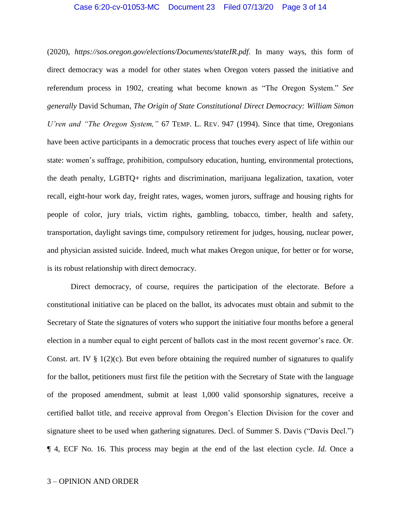### Case 6:20-cv-01053-MC Document 23 Filed 07/13/20 Page 3 of 14

(2020), *<https://sos.oregon.gov/elections/Documents/stateIR.pdf>*. In many ways, this form of direct democracy was a model for other states when Oregon voters passed the initiative and referendum process in 1902, creating what become known as "The Oregon System." *See generally* David Schuman, *The Origin of State Constitutional Direct Democracy: William Simon U'ren and "The Oregon System,"* 67 TEMP. L. REV. 947 (1994). Since that time, Oregonians have been active participants in a democratic process that touches every aspect of life within our state: women's suffrage, prohibition, compulsory education, hunting, environmental protections, the death penalty, LGBTQ+ rights and discrimination, marijuana legalization, taxation, voter recall, eight-hour work day, freight rates, wages, women jurors, suffrage and housing rights for people of color, jury trials, victim rights, gambling, tobacco, timber, health and safety, transportation, daylight savings time, compulsory retirement for judges, housing, nuclear power, and physician assisted suicide. Indeed, much what makes Oregon unique, for better or for worse, is its robust relationship with direct democracy.

Direct democracy, of course, requires the participation of the electorate. Before a constitutional initiative can be placed on the ballot, its advocates must obtain and submit to the Secretary of State the signatures of voters who support the initiative four months before a general election in a number equal to eight percent of ballots cast in the most recent governor's race. Or. Const. art. IV  $\S 1(2)(c)$ . But even before obtaining the required number of signatures to qualify for the ballot, petitioners must first file the petition with the Secretary of State with the language of the proposed amendment, submit at least 1,000 valid sponsorship signatures, receive a certified ballot title, and receive approval from Oregon's Election Division for the cover and signature sheet to be used when gathering signatures. Decl. of Summer S. Davis ("Davis Decl.") ¶ 4, ECF No. 16. This process may begin at the end of the last election cycle. *Id.* Once a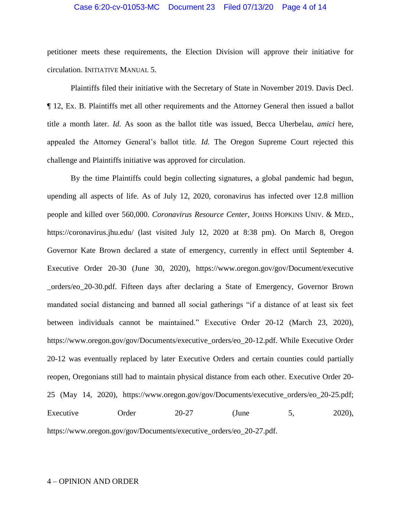### Case 6:20-cv-01053-MC Document 23 Filed 07/13/20 Page 4 of 14

petitioner meets these requirements, the Election Division will approve their initiative for circulation. INITIATIVE MANUAL 5.

Plaintiffs filed their initiative with the Secretary of State in November 2019. Davis Decl. ¶ 12, Ex. B. Plaintiffs met all other requirements and the Attorney General then issued a ballot title a month later. *Id.* As soon as the ballot title was issued, Becca Uherbelau, *amici* here, appealed the Attorney General's ballot title. *Id.* The Oregon Supreme Court rejected this challenge and Plaintiffs initiative was approved for circulation.

By the time Plaintiffs could begin collecting signatures, a global pandemic had begun, upending all aspects of life. As of July 12, 2020, coronavirus has infected over 12.8 million people and killed over 560,000. *Coronavirus Resource Center*, JOHNS HOPKINS UNIV. & MED., https://coronavirus.jhu.edu/ (last visited July 12, 2020 at 8:38 pm). On March 8, Oregon Governor Kate Brown declared a state of emergency, currently in effect until September 4. Executive Order 20-30 (June 30, 2020), [https://www.oregon.gov/gov/Document/executive](https://www.oregon.gov/gov/Document/executive%20_orders/eo_20-30.pdf)  [\\_orders/eo\\_20-30.pdf.](https://www.oregon.gov/gov/Document/executive%20_orders/eo_20-30.pdf) Fifteen days after declaring a State of Emergency, Governor Brown mandated social distancing and banned all social gatherings "if a distance of at least six feet between individuals cannot be maintained." Executive Order 20-12 (March 23, 2020), [https://www.oregon.gov/gov/Documents/executive\\_orders/eo\\_20-12.pdf.](https://www.oregon.gov/gov/Documents/executive_orders/eo_20-12.pdf) While Executive Order 20-12 was eventually replaced by later Executive Orders and certain counties could partially reopen, Oregonians still had to maintain physical distance from each other. Executive Order 20- 25 (May 14, 2020), [https://www.oregon.gov/gov/Documents/executive\\_orders/eo\\_20-25.pdf;](https://www.oregon.gov/gov/Documents/executive_orders/eo_20-25.pdf) Executive Order  $20-27$  (June 5, 2020), [https://www.oregon.gov/gov/Documents/executive\\_orders/eo\\_20-27.pdf.](https://www.oregon.gov/gov/Documents/executive_orders/eo_20-27.pdf)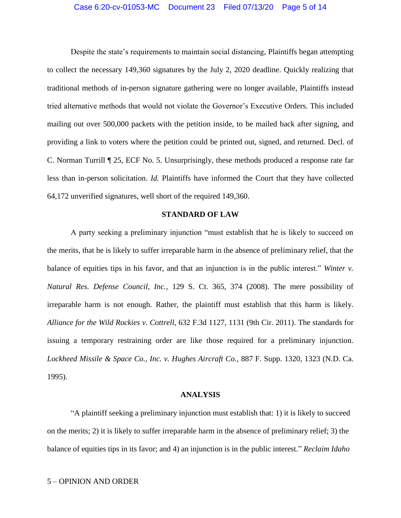### Case 6:20-cv-01053-MC Document 23 Filed 07/13/20 Page 5 of 14

Despite the state's requirements to maintain social distancing, Plaintiffs began attempting to collect the necessary 149,360 signatures by the July 2, 2020 deadline. Quickly realizing that traditional methods of in-person signature gathering were no longer available, Plaintiffs instead tried alternative methods that would not violate the Governor's Executive Orders. This included mailing out over 500,000 packets with the petition inside, to be mailed back after signing, and providing a link to voters where the petition could be printed out, signed, and returned. Decl. of C. Norman Turrill ¶ 25, ECF No. 5. Unsurprisingly, these methods produced a response rate far less than in-person solicitation. *Id.* Plaintiffs have informed the Court that they have collected 64,172 unverified signatures, well short of the required 149,360.

### **STANDARD OF LAW**

A party seeking a preliminary injunction "must establish that he is likely to succeed on the merits, that he is likely to suffer irreparable harm in the absence of preliminary relief, that the balance of equities tips in his favor, and that an injunction is in the public interest." *Winter v. Natural Res. Defense Council, Inc.*, 129 S. Ct. 365, 374 (2008). The mere possibility of irreparable harm is not enough. Rather, the plaintiff must establish that this harm is likely. *Alliance for the Wild Rockies v. Cottrell*, 632 F.3d 1127, 1131 (9th Cir. 2011). The standards for issuing a temporary restraining order are like those required for a preliminary injunction. *Lockheed Missile & Space Co., Inc. v. Hughes Aircraft Co.*, 887 F. Supp. 1320, 1323 (N.D. Ca. 1995).

#### **ANALYSIS**

"A plaintiff seeking a preliminary injunction must establish that: 1) it is likely to succeed on the merits; 2) it is likely to suffer irreparable harm in the absence of preliminary relief; 3) the balance of equities tips in its favor; and 4) an injunction is in the public interest." *Reclaim Idaho*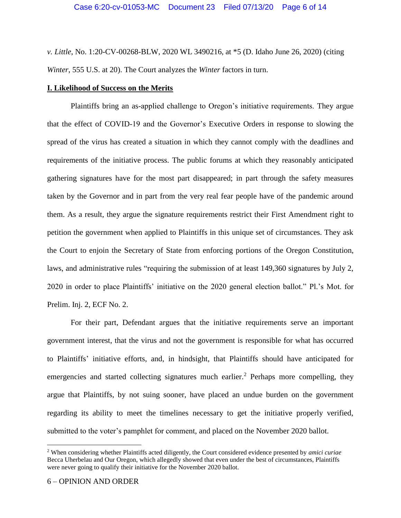*v. Little*, No. 1:20-CV-00268-BLW, 2020 WL 3490216, at \*5 (D. Idaho June 26, 2020) (citing *Winter*, 555 U.S. at 20). The Court analyzes the *Winter* factors in turn.

### **I. Likelihood of Success on the Merits**

Plaintiffs bring an as-applied challenge to Oregon's initiative requirements. They argue that the effect of COVID-19 and the Governor's Executive Orders in response to slowing the spread of the virus has created a situation in which they cannot comply with the deadlines and requirements of the initiative process. The public forums at which they reasonably anticipated gathering signatures have for the most part disappeared; in part through the safety measures taken by the Governor and in part from the very real fear people have of the pandemic around them. As a result, they argue the signature requirements restrict their First Amendment right to petition the government when applied to Plaintiffs in this unique set of circumstances. They ask the Court to enjoin the Secretary of State from enforcing portions of the Oregon Constitution, laws, and administrative rules "requiring the submission of at least 149,360 signatures by July 2, 2020 in order to place Plaintiffs' initiative on the 2020 general election ballot." Pl.'s Mot. for Prelim. Inj. 2, ECF No. 2.

For their part, Defendant argues that the initiative requirements serve an important government interest, that the virus and not the government is responsible for what has occurred to Plaintiffs' initiative efforts, and, in hindsight, that Plaintiffs should have anticipated for emergencies and started collecting signatures much earlier.<sup>2</sup> Perhaps more compelling, they argue that Plaintiffs, by not suing sooner, have placed an undue burden on the government regarding its ability to meet the timelines necessary to get the initiative properly verified, submitted to the voter's pamphlet for comment, and placed on the November 2020 ballot.

 $\overline{\phantom{a}}$ 

<sup>2</sup> When considering whether Plaintiffs acted diligently, the Court considered evidence presented by *amici curiae* Becca Uherbelau and Our Oregon, which allegedly showed that even under the best of circumstances, Plaintiffs were never going to qualify their initiative for the November 2020 ballot.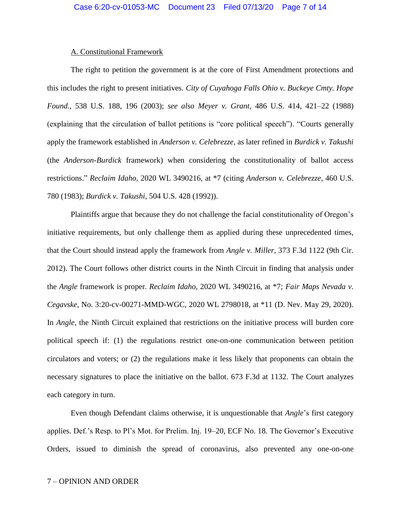#### A. Constitutional Framework

The right to petition the government is at the core of First Amendment protections and this includes the right to present initiatives. *City of Cuyahoga Falls Ohio v. Buckeye Cmty. Hope Found.*, 538 U.S. 188, 196 (2003); *see also Meyer v. Grant*, 486 U.S. 414, 421–22 (1988) (explaining that the circulation of ballot petitions is "core political speech"). "Courts generally apply the framework established in *Anderson v. Celebrezze*, as later refined in *Burdick v. Takushi* (the *Anderson-Burdick* framework) when considering the constitutionality of ballot access restrictions." *Reclaim Idaho*, 2020 WL 3490216, at \*7 (citing *Anderson v. Celebrezze*, 460 U.S. 780 (1983); *Burdick v. Takushi*, 504 U.S. 428 (1992)).

Plaintiffs argue that because they do not challenge the facial constitutionality of Oregon's initiative requirements, but only challenge them as applied during these unprecedented times, that the Court should instead apply the framework from *Angle v. Miller*, 373 F.3d 1122 (9th Cir. 2012). The Court follows other district courts in the Ninth Circuit in finding that analysis under the *Angle* framework is proper. *Reclaim Idaho*, 2020 WL 3490216, at \*7; *Fair Maps Nevada v. Cegavske*, No. 3:20-cv-00271-MMD-WGC, 2020 WL 2798018, at \*11 (D. Nev. May 29, 2020). In *Angle*, the Ninth Circuit explained that restrictions on the initiative process will burden core political speech if: (1) the regulations restrict one-on-one communication between petition circulators and voters; or (2) the regulations make it less likely that proponents can obtain the necessary signatures to place the initiative on the ballot. 673 F.3d at 1132. The Court analyzes each category in turn.

Even though Defendant claims otherwise, it is unquestionable that *Angle*'s first category applies. Def.'s Resp. to Pl's Mot. for Prelim. Inj. 19–20, ECF No. 18. The Governor's Executive Orders, issued to diminish the spread of coronavirus, also prevented any one-on-one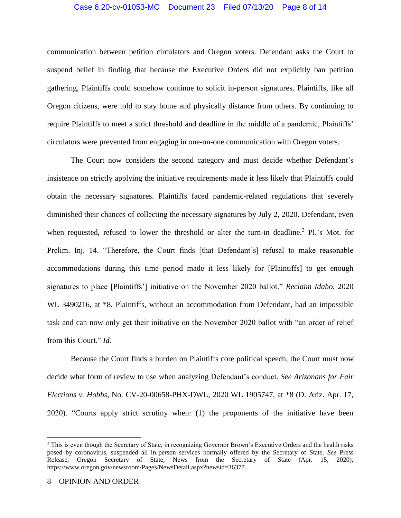### Case 6:20-cv-01053-MC Document 23 Filed 07/13/20 Page 8 of 14

communication between petition circulators and Oregon voters. Defendant asks the Court to suspend belief in finding that because the Executive Orders did not explicitly ban petition gathering, Plaintiffs could somehow continue to solicit in-person signatures. Plaintiffs, like all Oregon citizens, were told to stay home and physically distance from others. By continuing to require Plaintiffs to meet a strict threshold and deadline in the middle of a pandemic, Plaintiffs' circulators were prevented from engaging in one-on-one communication with Oregon voters.

The Court now considers the second category and must decide whether Defendant's insistence on strictly applying the initiative requirements made it less likely that Plaintiffs could obtain the necessary signatures. Plaintiffs faced pandemic-related regulations that severely diminished their chances of collecting the necessary signatures by July 2, 2020. Defendant, even when requested, refused to lower the threshold or alter the turn-in deadline.<sup>3</sup> Pl.'s Mot. for Prelim. Inj. 14. "Therefore, the Court finds [that Defendant's] refusal to make reasonable accommodations during this time period made it less likely for [Plaintiffs] to get enough signatures to place [Plaintiffs'] initiative on the November 2020 ballot." *Reclaim Idaho*, 2020 WL 3490216, at \*8. Plaintiffs, without an accommodation from Defendant, had an impossible task and can now only get their initiative on the November 2020 ballot with "an order of relief from this Court." *Id.*

Because the Court finds a burden on Plaintiffs core political speech, the Court must now decide what form of review to use when analyzing Defendant's conduct. *See Arizonans for Fair Elections v. Hobbs*, No. CV-20-00658-PHX-DWL, 2020 WL 1905747, at \*8 (D. Ariz. Apr. 17, 2020). "Courts apply strict scrutiny when: (1) the proponents of the initiative have been

 $\overline{a}$ 

<sup>&</sup>lt;sup>3</sup> This is even though the Secretary of State, in recognizing Governor Brown's Executive Orders and the health risks posed by coronavirus, suspended all in-person services normally offered by the Secretary of State. *See* Press Release, Oregon Secretary of State, News from the Secretary of State (Apr. 15, 2020), [https://www.oregon.gov/newsroom/Pages/NewsDetail.aspx?newsid=36377.](https://www.oregon.gov/newsroom/Pages/NewsDetail.aspx?newsid=36377)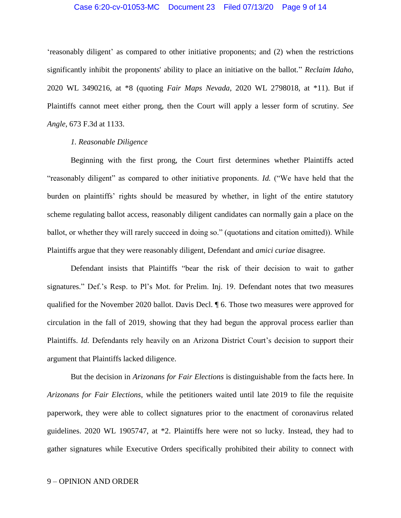### Case 6:20-cv-01053-MC Document 23 Filed 07/13/20 Page 9 of 14

'reasonably diligent' as compared to other initiative proponents; and (2) when the restrictions significantly inhibit the proponents' ability to place an initiative on the ballot." *Reclaim Idaho*, 2020 WL 3490216, at \*8 (quoting *Fair Maps Nevada*[, 2020 WL 2798018, at \\*11\).](https://1.next.westlaw.com/Link/Document/FullText?findType=Y&serNum=2051158450&pubNum=0000999&originatingDoc=I78d34820b9f511ea93a0cf5da1431849&refType=RP&originationContext=document&transitionType=DocumentItem&contextData=(sc.Keycite)) But if Plaintiffs cannot meet either prong, then the Court will apply a lesser form of scrutiny. *See Angle*, 673 F.3d at 1133.

### *1. Reasonable Diligence*

Beginning with the first prong, the Court first determines whether Plaintiffs acted "reasonably diligent" as compared to other initiative proponents. *Id.* ("We have held that the burden on plaintiffs' rights should be measured by whether, in light of the entire statutory scheme regulating ballot access, reasonably diligent candidates can normally gain a place on the ballot, or whether they will rarely succeed in doing so." (quotations and citation omitted)). While Plaintiffs argue that they were reasonably diligent, Defendant and *amici curiae* disagree.

Defendant insists that Plaintiffs "bear the risk of their decision to wait to gather signatures." Def.'s Resp. to Pl's Mot. for Prelim. Inj. 19. Defendant notes that two measures qualified for the November 2020 ballot. Davis Decl. ¶ 6. Those two measures were approved for circulation in the fall of 2019, showing that they had begun the approval process earlier than Plaintiffs. *Id.* Defendants rely heavily on an Arizona District Court's decision to support their argument that Plaintiffs lacked diligence.

But the decision in *Arizonans for Fair Elections* is distinguishable from the facts here. In *Arizonans for Fair Elections*, while the petitioners waited until late 2019 to file the requisite paperwork, they were able to collect signatures prior to the enactment of coronavirus related guidelines. 2020 WL 1905747, at \*2. Plaintiffs here were not so lucky. Instead, they had to gather signatures while Executive Orders specifically prohibited their ability to connect with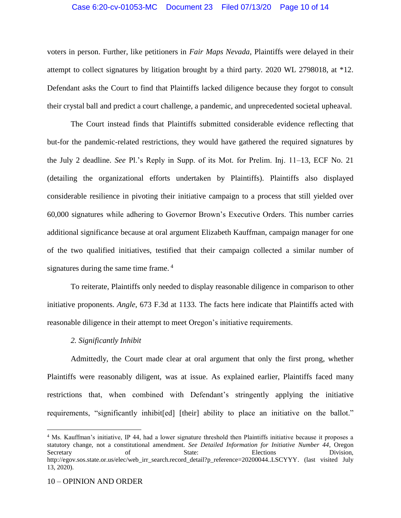### Case 6:20-cv-01053-MC Document 23 Filed 07/13/20 Page 10 of 14

voters in person. Further, like petitioners in *Fair Maps Nevada*, Plaintiffs were delayed in their attempt to collect signatures by litigation brought by a third party. 2020 WL 2798018, at \*12. Defendant asks the Court to find that Plaintiffs lacked diligence because they forgot to consult their crystal ball and predict a court challenge, a pandemic, and unprecedented societal upheaval.

The Court instead finds that Plaintiffs submitted considerable evidence reflecting that but-for the pandemic-related restrictions, they would have gathered the required signatures by the July 2 deadline. *See* Pl.'s Reply in Supp. of its Mot. for Prelim. Inj. 11–13, ECF No. 21 (detailing the organizational efforts undertaken by Plaintiffs). Plaintiffs also displayed considerable resilience in pivoting their initiative campaign to a process that still yielded over 60,000 signatures while adhering to Governor Brown's Executive Orders. This number carries additional significance because at oral argument Elizabeth Kauffman, campaign manager for one of the two qualified initiatives, testified that their campaign collected a similar number of signatures during the same time frame.<sup>4</sup>

To reiterate, Plaintiffs only needed to display reasonable diligence in comparison to other initiative proponents. *Angle*, 673 F.3d at 1133. The facts here indicate that Plaintiffs acted with reasonable diligence in their attempt to meet Oregon's initiative requirements.

#### *2. Significantly Inhibit*

Admittedly, the Court made clear at oral argument that only the first prong, whether Plaintiffs were reasonably diligent, was at issue. As explained earlier, Plaintiffs faced many restrictions that, when combined with Defendant's stringently applying the initiative requirements, "significantly inhibit[ed] [their] ability to place an initiative on the ballot."

l

<sup>4</sup> Ms. Kauffman's initiative, IP 44, had a lower signature threshold then Plaintiffs initiative because it proposes a statutory change, not a constitutional amendment. *See Detailed Information for Initiative Number 44*, Oregon Secretary of State: Elections Division, [http://egov.sos.state.or.us/elec/web\\_irr\\_search.record\\_detail?p\\_reference=20200044..LSCYYY.](http://egov.sos.state.or.us/elec/web_irr_search.record_detail?p_reference=20200044..LSCYYY) (last visited July 13, 2020).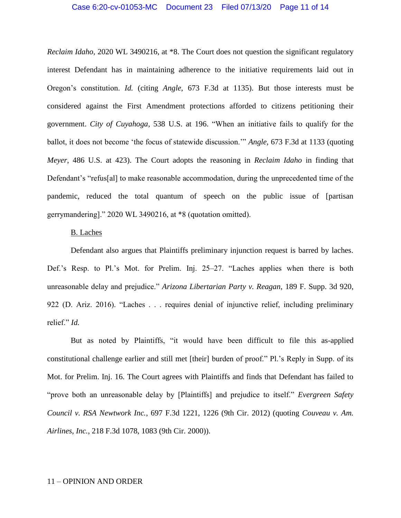### Case 6:20-cv-01053-MC Document 23 Filed 07/13/20 Page 11 of 14

*Reclaim Idaho*, 2020 WL 3490216, at \*8. The Court does not question the significant regulatory interest Defendant has in maintaining adherence to the initiative requirements laid out in Oregon's constitution. *Id.* (citing *Angle*, 673 F.3d at 1135). But those interests must be considered against the First Amendment protections afforded to citizens petitioning their government. *City of Cuyahoga*, 538 U.S. at 196. "When an initiative fails to qualify for the ballot, it does not become 'the focus of statewide discussion.'" *Angle*, 673 F.3d at 1133 (quoting *Meyer*, 486 U.S. at 423). The Court adopts the reasoning in *Reclaim Idaho* in finding that Defendant's "refus[al] to make reasonable accommodation, during the unprecedented time of the pandemic, reduced the total quantum of speech on the public issue of [partisan gerrymandering]." 2020 WL 3490216, at \*8 (quotation omitted).

#### B. Laches

Defendant also argues that Plaintiffs preliminary injunction request is barred by laches. Def.'s Resp. to Pl.'s Mot. for Prelim. Inj. 25–27. "Laches applies when there is both unreasonable delay and prejudice." *Arizona Libertarian Party v. Reagan*, 189 F. Supp. 3d 920, 922 (D. Ariz. 2016). "Laches . . . requires denial of injunctive relief, including preliminary relief." *Id.*

But as noted by Plaintiffs, "it would have been difficult to file this as-applied constitutional challenge earlier and still met [their] burden of proof." Pl.'s Reply in Supp. of its Mot. for Prelim. Inj. 16. The Court agrees with Plaintiffs and finds that Defendant has failed to "prove both an unreasonable delay by [Plaintiffs] and prejudice to itself." *Evergreen Safety Council v. RSA Newtwork Inc.*, 697 F.3d 1221, 1226 (9th Cir. 2012) (quoting *Couveau v. Am. Airlines, Inc.*, 218 F.3d 1078, 1083 (9th Cir. 2000)).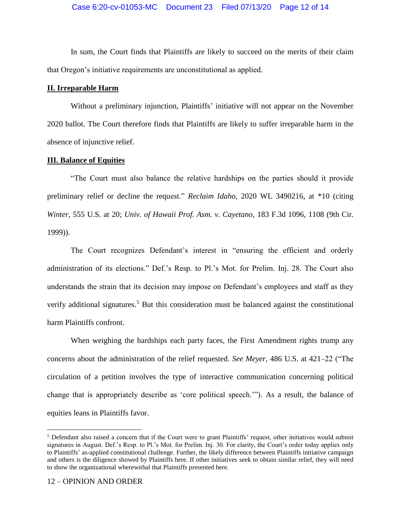In sum, the Court finds that Plaintiffs are likely to succeed on the merits of their claim that Oregon's initiative requirements are unconstitutional as applied.

### **II. Irreparable Harm**

Without a preliminary injunction, Plaintiffs' initiative will not appear on the November 2020 ballot. The Court therefore finds that Plaintiffs are likely to suffer irreparable harm in the absence of injunctive relief.

### **III. Balance of Equities**

"The Court must also balance the relative hardships on the parties should it provide preliminary relief or decline the request." *Reclaim Idaho*, 2020 WL 3490216, at \*10 (citing *Winter*, 555 U.S. at 20; *Univ. of Hawaii Prof. Asm. v. Cayetano*, 183 F.3d 1096, 1108 (9th Cir. 1999)).

The Court recognizes Defendant's interest in "ensuring the efficient and orderly administration of its elections." Def.'s Resp. to Pl.'s Mot. for Prelim. Inj. 28. The Court also understands the strain that its decision may impose on Defendant's employees and staff as they verify additional signatures.<sup>5</sup> But this consideration must be balanced against the constitutional harm Plaintiffs confront.

When weighing the hardships each party faces, the First Amendment rights trump any concerns about the administration of the relief requested. *See Meyer*, 486 U.S. at 421–22 ("The circulation of a petition involves the type of interactive communication concerning political change that is appropriately describe as 'core political speech.'"). As a result, the balance of equities leans in Plaintiffs favor.

l

<sup>5</sup> Defendant also raised a concern that if the Court were to grant Plaintiffs' request, other initiatives would submit signatures in August. Def.'s Resp. to Pl.'s Mot. for Prelim. Inj. 30. For clarity, the Court's order today applies only to Plaintiffs' as-applied constitutional challenge. Further, the likely difference between Plaintiffs initiative campaign and others is the diligence showed by Plaintiffs here. If other initiatives seek to obtain similar relief, they will need to show the organizational wherewithal that Plaintiffs presented here.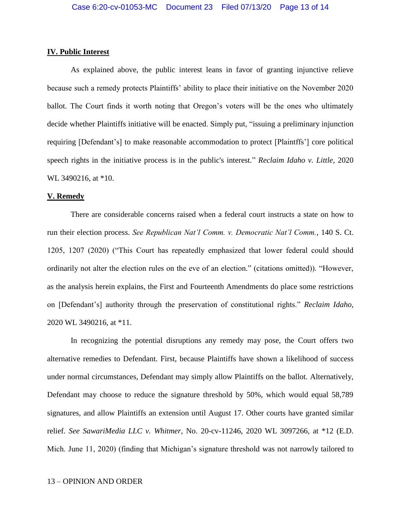### **IV. Public Interest**

As explained above, the public interest leans in favor of granting injunctive relieve because such a remedy protects Plaintiffs' ability to place their initiative on the November 2020 ballot. The Court finds it worth noting that Oregon's voters will be the ones who ultimately decide whether Plaintiffs initiative will be enacted. Simply put, "issuing a preliminary injunction requiring [Defendant's] to make reasonable accommodation to protect [Plaintffs'] core political speech rights in the initiative process is in the public's interest." *Reclaim Idaho v. Little*, 2020 WL 3490216, at \*10.

#### **V. Remedy**

There are considerable concerns raised when a federal court instructs a state on how to run their election process. *See Republican Nat'l Comm. v. Democratic Nat'l Comm.*, 140 S. Ct. 1205, 1207 (2020) ("This Court has repeatedly emphasized that lower federal could should ordinarily not alter the election rules on the eve of an election." (citations omitted)). "However, as the analysis herein explains, the First and Fourteenth Amendments do place some restrictions on [Defendant's] authority through the preservation of constitutional rights." *Reclaim Idaho*, 2020 WL 3490216, at \*11.

In recognizing the potential disruptions any remedy may pose, the Court offers two alternative remedies to Defendant. First, because Plaintiffs have shown a likelihood of success under normal circumstances, Defendant may simply allow Plaintiffs on the ballot. Alternatively, Defendant may choose to reduce the signature threshold by 50%, which would equal 58,789 signatures, and allow Plaintiffs an extension until August 17. Other courts have granted similar relief. *See SawariMedia LLC v. Whitmer*, No. 20-cv-11246, 2020 WL 3097266, at \*12 (E.D. Mich. June 11, 2020) (finding that Michigan's signature threshold was not narrowly tailored to